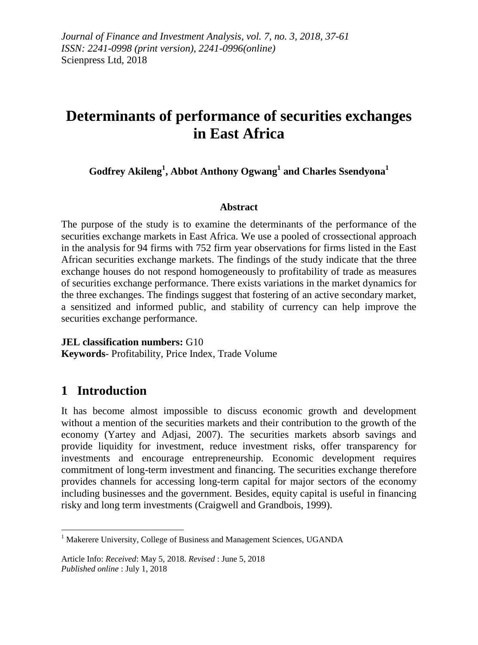*Journal of Finance and Investment Analysis, vol. 7, no. 3, 2018, 37-61 ISSN: 2241-0998 (print version), 2241-0996(online)* Scienpress Ltd, 2018

# **Determinants of performance of securities exchanges in East Africa**

**Godfrey Akileng<sup>1</sup> , Abbot Anthony Ogwang<sup>1</sup> and Charles Ssendyona<sup>1</sup>**

### **Abstract**

The purpose of the study is to examine the determinants of the performance of the securities exchange markets in East Africa. We use a pooled of crossectional approach in the analysis for 94 firms with 752 firm year observations for firms listed in the East African securities exchange markets. The findings of the study indicate that the three exchange houses do not respond homogeneously to profitability of trade as measures of securities exchange performance. There exists variations in the market dynamics for the three exchanges. The findings suggest that fostering of an active secondary market, a sensitized and informed public, and stability of currency can help improve the securities exchange performance.

**JEL classification numbers:** G10 **Keywords**- Profitability, Price Index, Trade Volume

# **1 Introduction**

**.** 

It has become almost impossible to discuss economic growth and development without a mention of the securities markets and their contribution to the growth of the economy (Yartey and Adjasi, 2007). The securities markets absorb savings and provide liquidity for investment, reduce investment risks, offer transparency for investments and encourage entrepreneurship. Economic development requires commitment of long-term investment and financing. The securities exchange therefore provides channels for accessing long-term capital for major sectors of the economy including businesses and the government. Besides, equity capital is useful in financing risky and long term investments (Craigwell and Grandbois, 1999).

<sup>&</sup>lt;sup>1</sup> Makerere University, College of Business and Management Sciences, UGANDA

Article Info: *Received*: May 5, 2018. *Revised* : June 5, 2018 *Published online* : July 1, 2018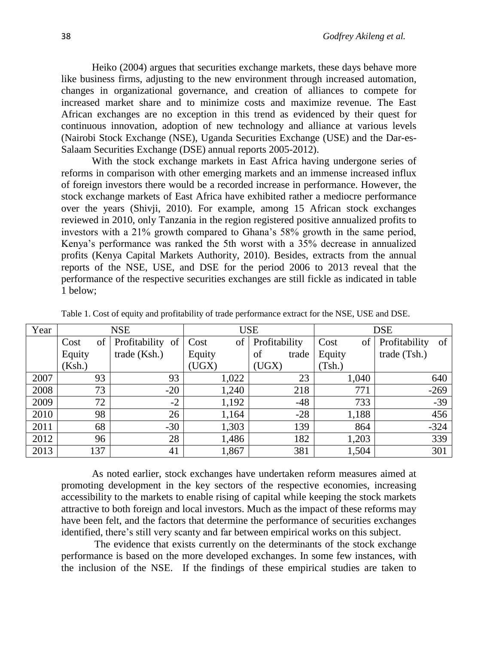Heiko (2004) argues that securities exchange markets, these days behave more like business firms, adjusting to the new environment through increased automation, changes in organizational governance, and creation of alliances to compete for increased market share and to minimize costs and maximize revenue. The East African exchanges are no exception in this trend as evidenced by their quest for continuous innovation, adoption of new technology and alliance at various levels (Nairobi Stock Exchange (NSE), Uganda Securities Exchange (USE) and the Dar-es-Salaam Securities Exchange (DSE) annual reports 2005-2012).

With the stock exchange markets in East Africa having undergone series of reforms in comparison with other emerging markets and an immense increased influx of foreign investors there would be a recorded increase in performance. However, the stock exchange markets of East Africa have exhibited rather a mediocre performance over the years (Shivji, 2010). For example, among 15 African stock exchanges reviewed in 2010, only Tanzania in the region registered positive annualized profits to investors with a 21% growth compared to Ghana's 58% growth in the same period, Kenya's performance was ranked the 5th worst with a 35% decrease in annualized profits (Kenya Capital Markets Authority, 2010). Besides, extracts from the annual reports of the NSE, USE, and DSE for the period 2006 to 2013 reveal that the performance of the respective securities exchanges are still fickle as indicated in table 1 below;

| Year |        |     | <b>NSE</b>    |       |        | <b>USE</b> |               |       |        |       | <b>DSE</b>    |        |
|------|--------|-----|---------------|-------|--------|------------|---------------|-------|--------|-------|---------------|--------|
|      | Cost   | of  | Profitability | of    | Cost   | of         | Profitability |       | Cost   | of    | Profitability | of     |
|      | Equity |     | trade (Ksh.)  |       | Equity |            | of            | trade | Equity |       | trade (Tsh.)  |        |
|      | (Ksh.) |     |               |       | (UGX)  |            | (UGX)         |       | (Tsh.) |       |               |        |
| 2007 |        | 93  |               | 93    |        | 1,022      |               | 23    |        | 1,040 |               | 640    |
| 2008 |        | 73  |               | $-20$ |        | 1,240      |               | 218   |        | 771   |               | $-269$ |
| 2009 |        | 72  |               | $-2$  |        | 1,192      |               | $-48$ |        | 733   |               | $-39$  |
| 2010 |        | 98  |               | 26    |        | 1,164      |               | $-28$ |        | 1,188 |               | 456    |
| 2011 |        | 68  |               | $-30$ |        | 1,303      |               | 139   |        | 864   |               | $-324$ |
| 2012 |        | 96  |               | 28    |        | 1,486      |               | 182   |        | 1,203 |               | 339    |
| 2013 |        | 137 |               | 41    |        | 1,867      |               | 381   |        | 1,504 |               | 301    |

Table 1. Cost of equity and profitability of trade performance extract for the NSE, USE and DSE.

As noted earlier, stock exchanges have undertaken reform measures aimed at promoting development in the key sectors of the respective economies, increasing accessibility to the markets to enable rising of capital while keeping the stock markets attractive to both foreign and local investors. Much as the impact of these reforms may have been felt, and the factors that determine the performance of securities exchanges identified, there's still very scanty and far between empirical works on this subject.

The evidence that exists currently on the determinants of the stock exchange performance is based on the more developed exchanges. In some few instances, with the inclusion of the NSE. If the findings of these empirical studies are taken to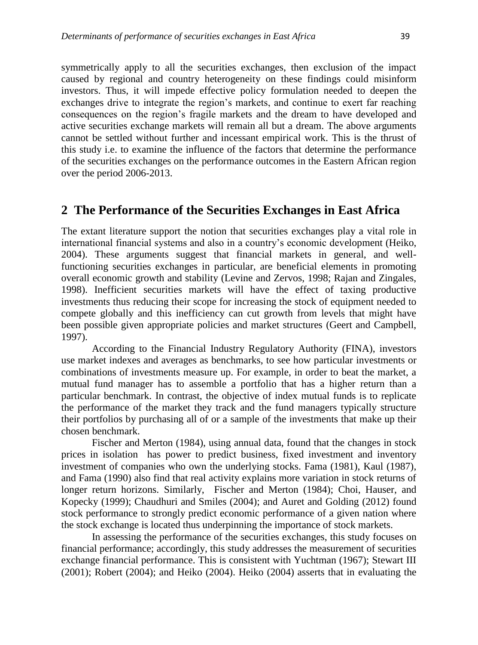symmetrically apply to all the securities exchanges, then exclusion of the impact caused by regional and country heterogeneity on these findings could misinform investors. Thus, it will impede effective policy formulation needed to deepen the exchanges drive to integrate the region's markets, and continue to exert far reaching consequences on the region's fragile markets and the dream to have developed and active securities exchange markets will remain all but a dream. The above arguments cannot be settled without further and incessant empirical work. This is the thrust of this study i.e. to examine the influence of the factors that determine the performance of the securities exchanges on the performance outcomes in the Eastern African region over the period 2006-2013.

## **2 The Performance of the Securities Exchanges in East Africa**

The extant literature support the notion that securities exchanges play a vital role in international financial systems and also in a country's economic development (Heiko, 2004). These arguments suggest that financial markets in general, and wellfunctioning securities exchanges in particular, are beneficial elements in promoting overall economic growth and stability (Levine and Zervos, 1998; Rajan and Zingales, 1998). Inefficient securities markets will have the effect of taxing productive investments thus reducing their scope for increasing the stock of equipment needed to compete globally and this inefficiency can cut growth from levels that might have been possible given appropriate policies and market structures (Geert and Campbell, 1997).

According to the Financial Industry Regulatory Authority (FINA), investors use market indexes and averages as benchmarks, to see how particular investments or combinations of investments measure up. For example, in order to beat the market, a mutual fund manager has to assemble a portfolio that has a higher return than a particular benchmark. In contrast, the objective of index mutual funds is to replicate the performance of the market they track and the fund managers typically structure their portfolios by purchasing all of or a sample of the investments that make up their chosen benchmark.

Fischer and Merton (1984), using annual data, found that the changes in stock prices in isolation has power to predict business, fixed investment and inventory investment of companies who own the underlying stocks. Fama (1981), Kaul (1987), and Fama (1990) also find that real activity explains more variation in stock returns of longer return horizons. Similarly, Fischer and Merton (1984); Choi, Hauser, and Kopecky (1999); Chaudhuri and Smiles (2004); and Auret and Golding (2012) found stock performance to strongly predict economic performance of a given nation where the stock exchange is located thus underpinning the importance of stock markets.

In assessing the performance of the securities exchanges, this study focuses on financial performance; accordingly, this study addresses the measurement of securities exchange financial performance. This is consistent with Yuchtman (1967); Stewart III (2001); Robert (2004); and Heiko (2004). Heiko (2004) asserts that in evaluating the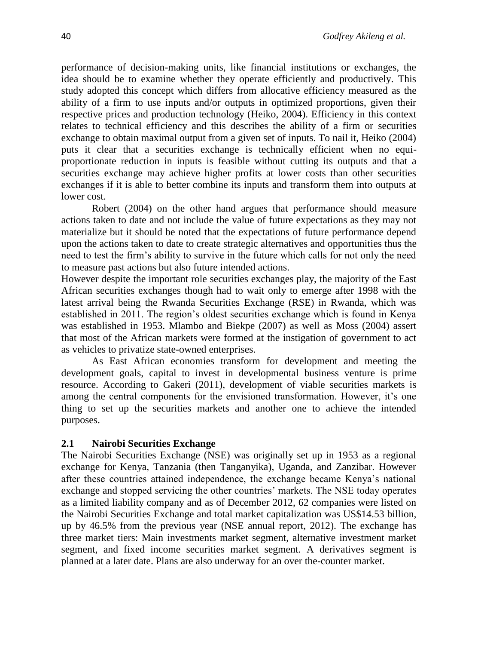performance of decision-making units, like financial institutions or exchanges, the idea should be to examine whether they operate efficiently and productively. This study adopted this concept which differs from allocative efficiency measured as the ability of a firm to use inputs and/or outputs in optimized proportions, given their respective prices and production technology (Heiko, 2004). Efficiency in this context relates to technical efficiency and this describes the ability of a firm or securities exchange to obtain maximal output from a given set of inputs. To nail it, Heiko (2004) puts it clear that a securities exchange is technically efficient when no equiproportionate reduction in inputs is feasible without cutting its outputs and that a securities exchange may achieve higher profits at lower costs than other securities exchanges if it is able to better combine its inputs and transform them into outputs at lower cost.

Robert (2004) on the other hand argues that performance should measure actions taken to date and not include the value of future expectations as they may not materialize but it should be noted that the expectations of future performance depend upon the actions taken to date to create strategic alternatives and opportunities thus the need to test the firm's ability to survive in the future which calls for not only the need to measure past actions but also future intended actions.

However despite the important role securities exchanges play, the majority of the East African securities exchanges though had to wait only to emerge after 1998 with the latest arrival being the Rwanda Securities Exchange (RSE) in Rwanda, which was established in 2011. The region's oldest securities exchange which is found in Kenya was established in 1953. Mlambo and Biekpe (2007) as well as Moss (2004) assert that most of the African markets were formed at the instigation of government to act as vehicles to privatize state-owned enterprises.

As East African economies transform for development and meeting the development goals, capital to invest in developmental business venture is prime resource. According to Gakeri (2011), development of viable securities markets is among the central components for the envisioned transformation. However, it's one thing to set up the securities markets and another one to achieve the intended purposes.

### **2.1 Nairobi Securities Exchange**

The Nairobi Securities Exchange (NSE) was originally set up in 1953 as a regional exchange for Kenya, Tanzania (then Tanganyika), Uganda, and Zanzibar. However after these countries attained independence, the exchange became Kenya's national exchange and stopped servicing the other countries' markets. The NSE today operates as a limited liability company and as of December 2012, 62 companies were listed on the Nairobi Securities Exchange and total market capitalization was US\$14.53 billion, up by 46.5% from the previous year (NSE annual report, 2012). The exchange has three market tiers: Main investments market segment, alternative investment market segment, and fixed income securities market segment. A derivatives segment is planned at a later date. Plans are also underway for an over the-counter market.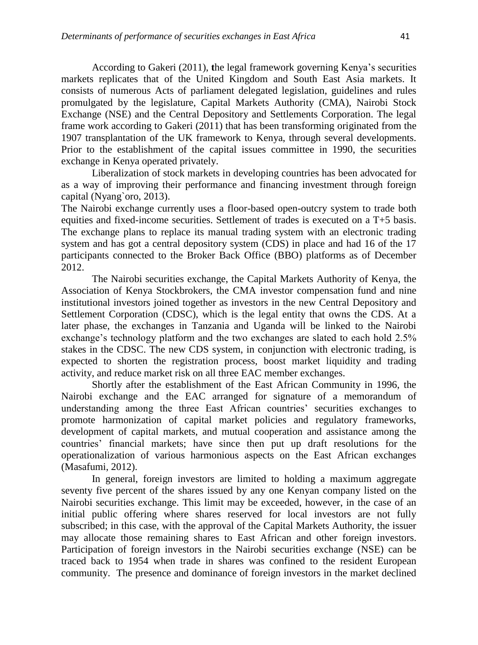According to Gakeri (2011), **t**he legal framework governing Kenya's securities markets replicates that of the United Kingdom and South East Asia markets. It consists of numerous Acts of parliament delegated legislation, guidelines and rules promulgated by the legislature, Capital Markets Authority (CMA), Nairobi Stock Exchange (NSE) and the Central Depository and Settlements Corporation. The legal frame work according to Gakeri (2011) that has been transforming originated from the 1907 transplantation of the UK framework to Kenya, through several developments. Prior to the establishment of the capital issues committee in 1990, the securities exchange in Kenya operated privately.

Liberalization of stock markets in developing countries has been advocated for as a way of improving their performance and financing investment through foreign capital (Nyang`oro, 2013).

The Nairobi exchange currently uses a floor-based open-outcry system to trade both equities and fixed-income securities. Settlement of trades is executed on a T+5 basis. The exchange plans to replace its manual trading system with an electronic trading system and has got a central depository system (CDS) in place and had 16 of the 17 participants connected to the Broker Back Office (BBO) platforms as of December 2012.

The Nairobi securities exchange, the Capital Markets Authority of Kenya, the Association of Kenya Stockbrokers, the CMA investor compensation fund and nine institutional investors joined together as investors in the new Central Depository and Settlement Corporation (CDSC), which is the legal entity that owns the CDS. At a later phase, the exchanges in Tanzania and Uganda will be linked to the Nairobi exchange's technology platform and the two exchanges are slated to each hold 2.5% stakes in the CDSC. The new CDS system, in conjunction with electronic trading, is expected to shorten the registration process, boost market liquidity and trading activity, and reduce market risk on all three EAC member exchanges.

Shortly after the establishment of the East African Community in 1996, the Nairobi exchange and the EAC arranged for signature of a memorandum of understanding among the three East African countries' securities exchanges to promote harmonization of capital market policies and regulatory frameworks, development of capital markets, and mutual cooperation and assistance among the countries' financial markets; have since then put up draft resolutions for the operationalization of various harmonious aspects on the East African exchanges (Masafumi, 2012).

In general, foreign investors are limited to holding a maximum aggregate seventy five percent of the shares issued by any one Kenyan company listed on the Nairobi securities exchange. This limit may be exceeded, however, in the case of an initial public offering where shares reserved for local investors are not fully subscribed; in this case, with the approval of the Capital Markets Authority, the issuer may allocate those remaining shares to East African and other foreign investors. Participation of foreign investors in the Nairobi securities exchange (NSE) can be traced back to 1954 when trade in shares was confined to the resident European community. The presence and dominance of foreign investors in the market declined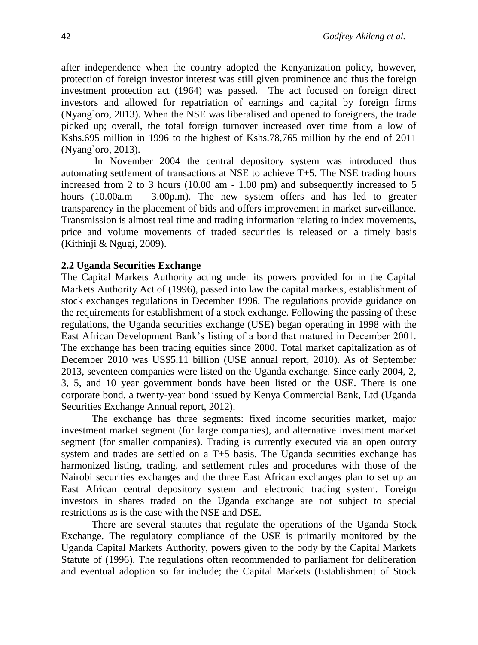after independence when the country adopted the Kenyanization policy, however, protection of foreign investor interest was still given prominence and thus the foreign investment protection act (1964) was passed. The act focused on foreign direct investors and allowed for repatriation of earnings and capital by foreign firms (Nyang`oro, 2013). When the NSE was liberalised and opened to foreigners, the trade picked up; overall, the total foreign turnover increased over time from a low of Kshs.695 million in 1996 to the highest of Kshs.78,765 million by the end of 2011 (Nyang`oro, 2013).

In November 2004 the central depository system was introduced thus automating settlement of transactions at NSE to achieve T+5. The NSE trading hours increased from 2 to 3 hours (10.00 am - 1.00 pm) and subsequently increased to 5 hours (10.00a.m – 3.00p.m). The new system offers and has led to greater transparency in the placement of bids and offers improvement in market surveillance. Transmission is almost real time and trading information relating to index movements, price and volume movements of traded securities is released on a timely basis (Kithinji & Ngugi, 2009).

### **2.2 Uganda Securities Exchange**

The Capital Markets Authority acting under its powers provided for in the Capital Markets Authority Act of (1996), passed into law the capital markets, establishment of stock exchanges regulations in December 1996. The regulations provide guidance on the requirements for establishment of a stock exchange. Following the passing of these regulations, the Uganda securities exchange (USE) began operating in 1998 with the East African Development Bank's listing of a bond that matured in December 2001. The exchange has been trading equities since 2000. Total market capitalization as of December 2010 was US\$5.11 billion (USE annual report, 2010). As of September 2013, seventeen companies were listed on the Uganda exchange. Since early 2004, 2, 3, 5, and 10 year government bonds have been listed on the USE. There is one corporate bond, a twenty-year bond issued by Kenya Commercial Bank, Ltd (Uganda Securities Exchange Annual report, 2012).

The exchange has three segments: fixed income securities market, major investment market segment (for large companies), and alternative investment market segment (for smaller companies). Trading is currently executed via an open outcry system and trades are settled on a T+5 basis. The Uganda securities exchange has harmonized listing, trading, and settlement rules and procedures with those of the Nairobi securities exchanges and the three East African exchanges plan to set up an East African central depository system and electronic trading system. Foreign investors in shares traded on the Uganda exchange are not subject to special restrictions as is the case with the NSE and DSE.

There are several statutes that regulate the operations of the Uganda Stock Exchange. The regulatory compliance of the USE is primarily monitored by the Uganda Capital Markets Authority, powers given to the body by the Capital Markets Statute of (1996). The regulations often recommended to parliament for deliberation and eventual adoption so far include; the Capital Markets (Establishment of Stock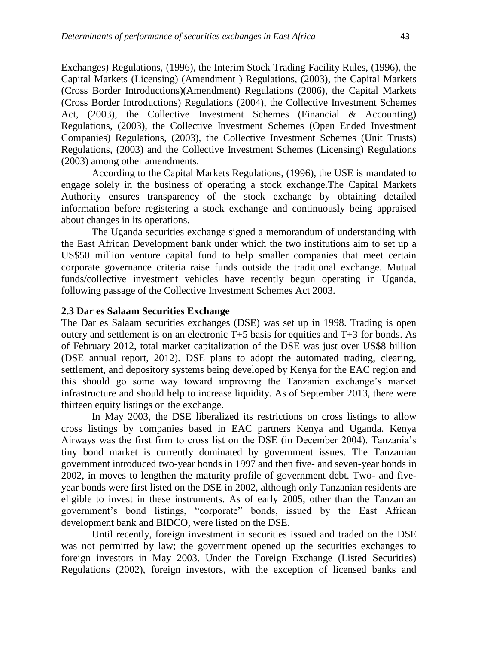Exchanges) Regulations, (1996), the Interim Stock Trading Facility Rules, (1996), the Capital Markets (Licensing) (Amendment ) Regulations, (2003), the Capital Markets (Cross Border Introductions)(Amendment) Regulations (2006), the Capital Markets (Cross Border Introductions) Regulations (2004), the Collective Investment Schemes Act, (2003), the Collective Investment Schemes (Financial & Accounting) Regulations, (2003), the Collective Investment Schemes (Open Ended Investment Companies) Regulations, (2003), the Collective Investment Schemes (Unit Trusts) Regulations, (2003) and the Collective Investment Schemes (Licensing) Regulations (2003) among other amendments.

According to the Capital Markets Regulations, (1996), the USE is mandated to engage solely in the business of operating a stock exchange.The Capital Markets Authority ensures transparency of the stock exchange by obtaining detailed information before registering a stock exchange and continuously being appraised about changes in its operations.

The Uganda securities exchange signed a memorandum of understanding with the East African Development bank under which the two institutions aim to set up a US\$50 million venture capital fund to help smaller companies that meet certain corporate governance criteria raise funds outside the traditional exchange. Mutual funds/collective investment vehicles have recently begun operating in Uganda, following passage of the Collective Investment Schemes Act 2003.

### **2.3 Dar es Salaam Securities Exchange**

The Dar es Salaam securities exchanges (DSE) was set up in 1998. Trading is open outcry and settlement is on an electronic T+5 basis for equities and T+3 for bonds. As of February 2012, total market capitalization of the DSE was just over US\$8 billion (DSE annual report, 2012). DSE plans to adopt the automated trading, clearing, settlement, and depository systems being developed by Kenya for the EAC region and this should go some way toward improving the Tanzanian exchange's market infrastructure and should help to increase liquidity. As of September 2013, there were thirteen equity listings on the exchange.

In May 2003, the DSE liberalized its restrictions on cross listings to allow cross listings by companies based in EAC partners Kenya and Uganda. Kenya Airways was the first firm to cross list on the DSE (in December 2004). Tanzania's tiny bond market is currently dominated by government issues. The Tanzanian government introduced two-year bonds in 1997 and then five- and seven-year bonds in 2002, in moves to lengthen the maturity profile of government debt. Two- and fiveyear bonds were first listed on the DSE in 2002, although only Tanzanian residents are eligible to invest in these instruments. As of early 2005, other than the Tanzanian government's bond listings, "corporate" bonds, issued by the East African development bank and BIDCO, were listed on the DSE.

Until recently, foreign investment in securities issued and traded on the DSE was not permitted by law; the government opened up the securities exchanges to foreign investors in May 2003. Under the Foreign Exchange (Listed Securities) Regulations (2002), foreign investors, with the exception of licensed banks and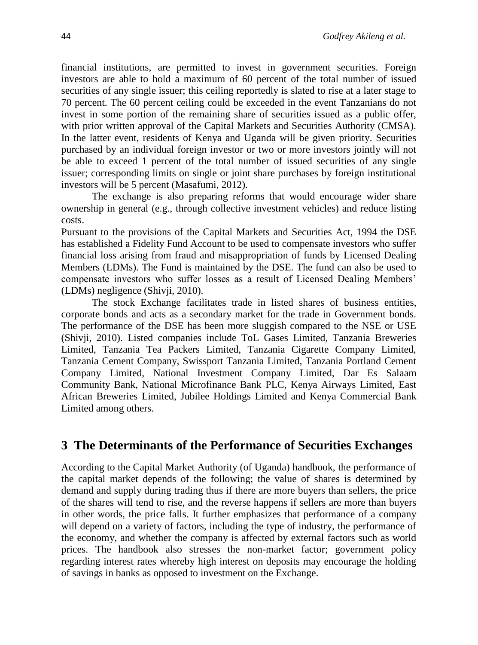financial institutions, are permitted to invest in government securities. Foreign investors are able to hold a maximum of 60 percent of the total number of issued securities of any single issuer; this ceiling reportedly is slated to rise at a later stage to 70 percent. The 60 percent ceiling could be exceeded in the event Tanzanians do not invest in some portion of the remaining share of securities issued as a public offer, with prior written approval of the Capital Markets and Securities Authority (CMSA). In the latter event, residents of Kenya and Uganda will be given priority. Securities purchased by an individual foreign investor or two or more investors jointly will not be able to exceed 1 percent of the total number of issued securities of any single issuer; corresponding limits on single or joint share purchases by foreign institutional investors will be 5 percent (Masafumi, 2012).

The exchange is also preparing reforms that would encourage wider share ownership in general (e.g., through collective investment vehicles) and reduce listing costs.

Pursuant to the provisions of the Capital Markets and Securities Act, 1994 the DSE has established a Fidelity Fund Account to be used to compensate investors who suffer financial loss arising from fraud and misappropriation of funds by Licensed Dealing Members (LDMs). The Fund is maintained by the DSE. The fund can also be used to compensate investors who suffer losses as a result of Licensed Dealing Members' (LDMs) negligence (Shivji, 2010).

The stock Exchange facilitates trade in listed shares of business entities, corporate bonds and acts as a secondary market for the trade in Government bonds. The performance of the DSE has been more sluggish compared to the NSE or USE (Shivji, 2010). Listed companies include ToL Gases Limited, Tanzania Breweries Limited, Tanzania Tea Packers Limited, Tanzania Cigarette Company Limited, Tanzania Cement Company, Swissport Tanzania Limited, Tanzania Portland Cement Company Limited, National Investment Company Limited, Dar Es Salaam Community Bank, National Microfinance Bank PLC, Kenya Airways Limited, East African Breweries Limited, Jubilee Holdings Limited and Kenya Commercial Bank Limited among others.

# **3 The Determinants of the Performance of Securities Exchanges**

According to the Capital Market Authority (of Uganda) handbook, the performance of the capital market depends of the following; the value of shares is determined by demand and supply during trading thus if there are more buyers than sellers, the price of the shares will tend to rise, and the reverse happens if sellers are more than buyers in other words, the price falls. It further emphasizes that performance of a company will depend on a variety of factors, including the type of industry, the performance of the economy, and whether the company is affected by external factors such as world prices. The handbook also stresses the non-market factor; government policy regarding interest rates whereby high interest on deposits may encourage the holding of savings in banks as opposed to investment on the Exchange.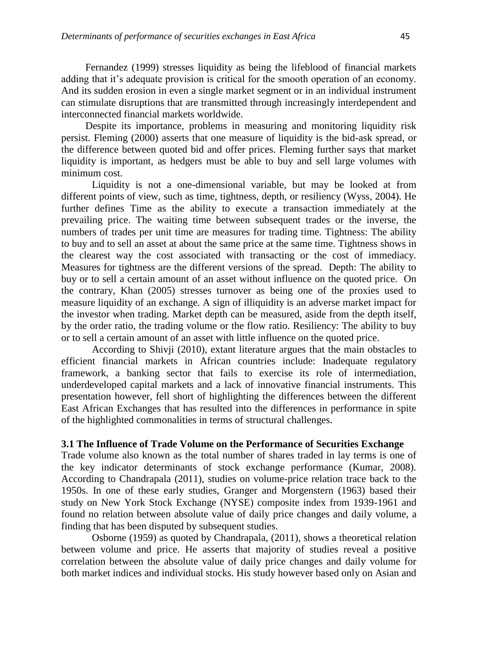Fernandez (1999) stresses liquidity as being the lifeblood of financial markets adding that it's adequate provision is critical for the smooth operation of an economy. And its sudden erosion in even a single market segment or in an individual instrument can stimulate disruptions that are transmitted through increasingly interdependent and interconnected financial markets worldwide.

Despite its importance, problems in measuring and monitoring liquidity risk persist. Fleming (2000) asserts that one measure of liquidity is the bid-ask spread, or the difference between quoted bid and offer prices. Fleming further says that market liquidity is important, as hedgers must be able to buy and sell large volumes with minimum cost.

Liquidity is not a one-dimensional variable, but may be looked at from different points of view, such as time, tightness, depth, or resiliency (Wyss, 2004). He further defines Time as the ability to execute a transaction immediately at the prevailing price. The waiting time between subsequent trades or the inverse, the numbers of trades per unit time are measures for trading time. Tightness: The ability to buy and to sell an asset at about the same price at the same time. Tightness shows in the clearest way the cost associated with transacting or the cost of immediacy. Measures for tightness are the different versions of the spread. Depth: The ability to buy or to sell a certain amount of an asset without influence on the quoted price. On the contrary, Khan (2005) stresses turnover as being one of the proxies used to measure liquidity of an exchange. A sign of illiquidity is an adverse market impact for the investor when trading. Market depth can be measured, aside from the depth itself, by the order ratio, the trading volume or the flow ratio. Resiliency: The ability to buy or to sell a certain amount of an asset with little influence on the quoted price.

According to Shivji (2010), extant literature argues that the main obstacles to efficient financial markets in African countries include: Inadequate regulatory framework, a banking sector that fails to exercise its role of intermediation, underdeveloped capital markets and a lack of innovative financial instruments. This presentation however, fell short of highlighting the differences between the different East African Exchanges that has resulted into the differences in performance in spite of the highlighted commonalities in terms of structural challenges.

### **3.1 The Influence of Trade Volume on the Performance of Securities Exchange**

Trade volume also known as the total number of shares traded in lay terms is one of the key indicator determinants of stock exchange performance (Kumar, 2008). According to Chandrapala (2011), studies on volume-price relation trace back to the 1950s. In one of these early studies, Granger and Morgenstern (1963) based their study on New York Stock Exchange (NYSE) composite index from 1939-1961 and found no relation between absolute value of daily price changes and daily volume, a finding that has been disputed by subsequent studies.

Osborne (1959) as quoted by Chandrapala, (2011), shows a theoretical relation between volume and price. He asserts that majority of studies reveal a positive correlation between the absolute value of daily price changes and daily volume for both market indices and individual stocks. His study however based only on Asian and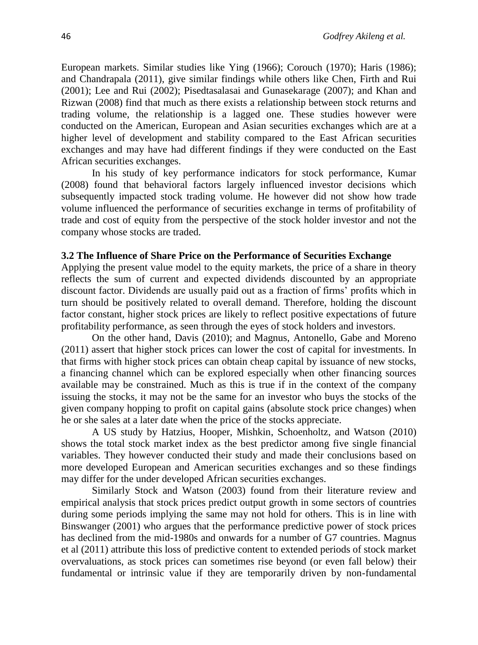European markets. Similar studies like Ying (1966); Corouch (1970); Haris (1986); and Chandrapala (2011), give similar findings while others like Chen, Firth and Rui (2001); Lee and Rui (2002); Pisedtasalasai and Gunasekarage (2007); and Khan and Rizwan (2008) find that much as there exists a relationship between stock returns and trading volume, the relationship is a lagged one. These studies however were conducted on the American, European and Asian securities exchanges which are at a higher level of development and stability compared to the East African securities exchanges and may have had different findings if they were conducted on the East African securities exchanges.

In his study of key performance indicators for stock performance, Kumar (2008) found that behavioral factors largely influenced investor decisions which subsequently impacted stock trading volume. He however did not show how trade volume influenced the performance of securities exchange in terms of profitability of trade and cost of equity from the perspective of the stock holder investor and not the company whose stocks are traded.

#### **3.2 The Influence of Share Price on the Performance of Securities Exchange**

Applying the present value model to the equity markets, the price of a share in theory reflects the sum of current and expected dividends discounted by an appropriate discount factor. Dividends are usually paid out as a fraction of firms' profits which in turn should be positively related to overall demand. Therefore, holding the discount factor constant, higher stock prices are likely to reflect positive expectations of future profitability performance, as seen through the eyes of stock holders and investors.

On the other hand, Davis (2010); and Magnus, Antonello, Gabe and Moreno (2011) assert that higher stock prices can lower the cost of capital for investments. In that firms with higher stock prices can obtain cheap capital by issuance of new stocks, a financing channel which can be explored especially when other financing sources available may be constrained. Much as this is true if in the context of the company issuing the stocks, it may not be the same for an investor who buys the stocks of the given company hopping to profit on capital gains (absolute stock price changes) when he or she sales at a later date when the price of the stocks appreciate.

A US study by Hatzius, Hooper, Mishkin, Schoenholtz, and Watson (2010) shows the total stock market index as the best predictor among five single financial variables. They however conducted their study and made their conclusions based on more developed European and American securities exchanges and so these findings may differ for the under developed African securities exchanges.

Similarly Stock and Watson (2003) found from their literature review and empirical analysis that stock prices predict output growth in some sectors of countries during some periods implying the same may not hold for others. This is in line with Binswanger (2001) who argues that the performance predictive power of stock prices has declined from the mid-1980s and onwards for a number of G7 countries. Magnus et al (2011) attribute this loss of predictive content to extended periods of stock market overvaluations, as stock prices can sometimes rise beyond (or even fall below) their fundamental or intrinsic value if they are temporarily driven by non-fundamental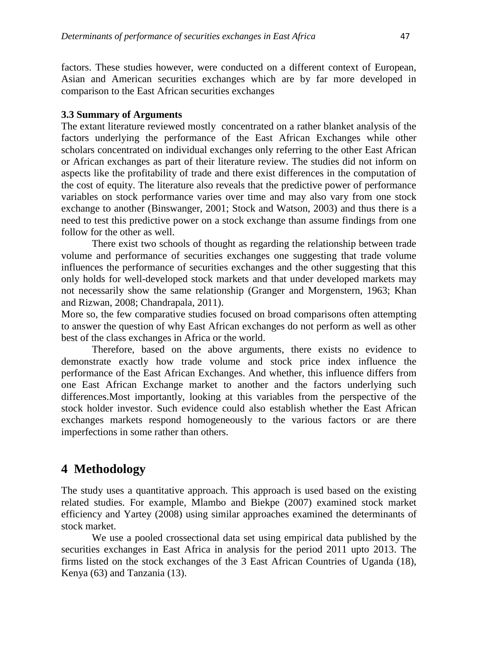factors. These studies however, were conducted on a different context of European, Asian and American securities exchanges which are by far more developed in comparison to the East African securities exchanges

#### **3.3 Summary of Arguments**

The extant literature reviewed mostly concentrated on a rather blanket analysis of the factors underlying the performance of the East African Exchanges while other scholars concentrated on individual exchanges only referring to the other East African or African exchanges as part of their literature review. The studies did not inform on aspects like the profitability of trade and there exist differences in the computation of the cost of equity. The literature also reveals that the predictive power of performance variables on stock performance varies over time and may also vary from one stock exchange to another (Binswanger, 2001; Stock and Watson, 2003) and thus there is a need to test this predictive power on a stock exchange than assume findings from one follow for the other as well.

There exist two schools of thought as regarding the relationship between trade volume and performance of securities exchanges one suggesting that trade volume influences the performance of securities exchanges and the other suggesting that this only holds for well-developed stock markets and that under developed markets may not necessarily show the same relationship (Granger and Morgenstern, 1963; Khan and Rizwan, 2008; Chandrapala, 2011).

More so, the few comparative studies focused on broad comparisons often attempting to answer the question of why East African exchanges do not perform as well as other best of the class exchanges in Africa or the world.

Therefore, based on the above arguments, there exists no evidence to demonstrate exactly how trade volume and stock price index influence the performance of the East African Exchanges. And whether, this influence differs from one East African Exchange market to another and the factors underlying such differences.Most importantly, looking at this variables from the perspective of the stock holder investor. Such evidence could also establish whether the East African exchanges markets respond homogeneously to the various factors or are there imperfections in some rather than others.

# **4 Methodology**

The study uses a quantitative approach. This approach is used based on the existing related studies. For example, Mlambo and Biekpe (2007) examined stock market efficiency and Yartey (2008) using similar approaches examined the determinants of stock market.

We use a pooled crossectional data set using empirical data published by the securities exchanges in East Africa in analysis for the period 2011 upto 2013. The firms listed on the stock exchanges of the 3 East African Countries of Uganda (18), Kenya (63) and Tanzania (13).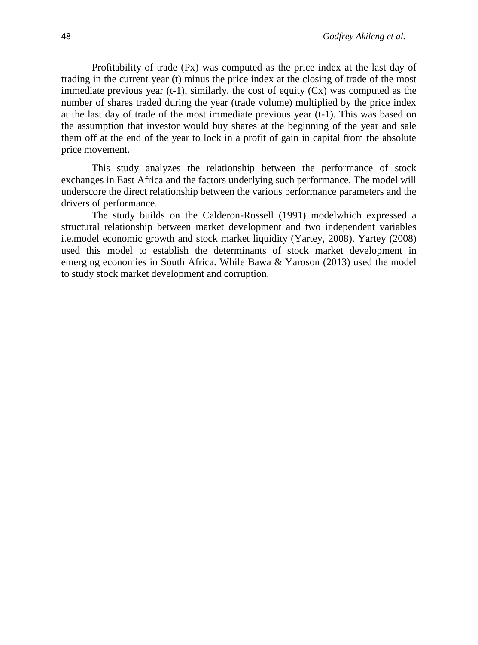Profitability of trade (Px) was computed as the price index at the last day of trading in the current year (t) minus the price index at the closing of trade of the most immediate previous year  $(t-1)$ , similarly, the cost of equity  $(Cx)$  was computed as the number of shares traded during the year (trade volume) multiplied by the price index at the last day of trade of the most immediate previous year (t-1). This was based on the assumption that investor would buy shares at the beginning of the year and sale them off at the end of the year to lock in a profit of gain in capital from the absolute price movement.

This study analyzes the relationship between the performance of stock exchanges in East Africa and the factors underlying such performance. The model will underscore the direct relationship between the various performance parameters and the drivers of performance.

The study builds on the Calderon-Rossell (1991) modelwhich expressed a structural relationship between market development and two independent variables i.e.model economic growth and stock market liquidity (Yartey, 2008). Yartey (2008) used this model to establish the determinants of stock market development in emerging economies in South Africa. While Bawa & Yaroson (2013) used the model to study stock market development and corruption.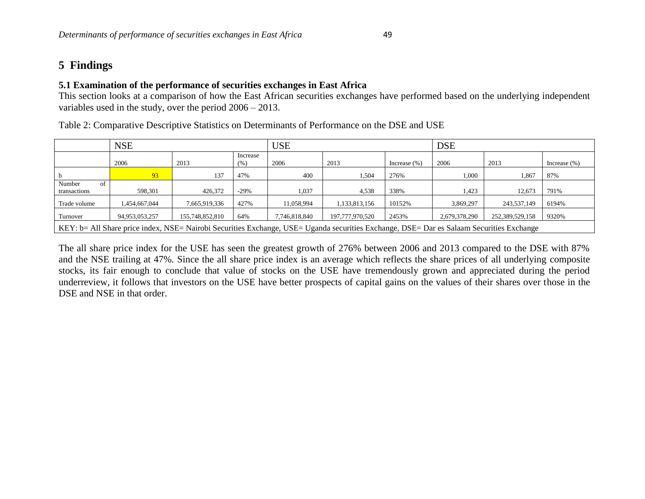# **5 Findings**

### **5.1 Examination of the performance of securities exchanges in East Africa**

This section looks at a comparison of how the East African securities exchanges have performed based on the underlying independent variables used in the study, over the period 2006 – 2013.

| Table 2: Comparative Descriptive Statistics on Determinants of Performance on the DSE and USE |  |  |  |  |  |  |  |  |  |  |
|-----------------------------------------------------------------------------------------------|--|--|--|--|--|--|--|--|--|--|
|-----------------------------------------------------------------------------------------------|--|--|--|--|--|--|--|--|--|--|

|                                                                                                                                          | <b>NSE</b>     |                 |                  | <b>USE</b>    |                 |                 | <b>DSE</b>    |                 |                 |
|------------------------------------------------------------------------------------------------------------------------------------------|----------------|-----------------|------------------|---------------|-----------------|-----------------|---------------|-----------------|-----------------|
|                                                                                                                                          | 2006           | 2013            | Increase<br>(% ) | 2006          | 2013            | Increase $(\%)$ | 2006          | 2013            | Increase $(\%)$ |
|                                                                                                                                          | 93             | 137             | 47%              | 400           | 1,504           | 276%            | 1,000         | 1.867           | 87%             |
| Number<br>οf<br>transactions                                                                                                             | 598,301        | 426,372         | $-29%$           | 1,037         | 4,538           | 338%            | 1,423         | 12.673          | 791%            |
| Trade volume                                                                                                                             | 1,454,667,044  | 7.665.919.336   | 427%             | 11,058,994    | 1,133,813,156   | 10152%          | 3.869.297     | 243,537,149     | 6194%           |
| Turnover                                                                                                                                 | 94,953,053,257 | 155,748,852,810 | 64%              | 7,746,818,840 | 197,777,970,520 | 2453%           | 2,679,378,290 | 252,389,529,158 | 9320%           |
| KEY: b= All Share price index, NSE= Nairobi Securities Exchange, USE= Uganda securities Exchange, DSE= Dar es Salaam Securities Exchange |                |                 |                  |               |                 |                 |               |                 |                 |

The all share price index for the USE has seen the greatest growth of 276% between 2006 and 2013 compared to the DSE with 87% and the NSE trailing at 47%. Since the all share price index is an average which reflects the share prices of all underlying composite stocks, its fair enough to conclude that value of stocks on the USE have tremendously grown and appreciated during the period underreview, it follows that investors on the USE have better prospects of capital gains on the values of their shares over those in the DSE and NSE in that order.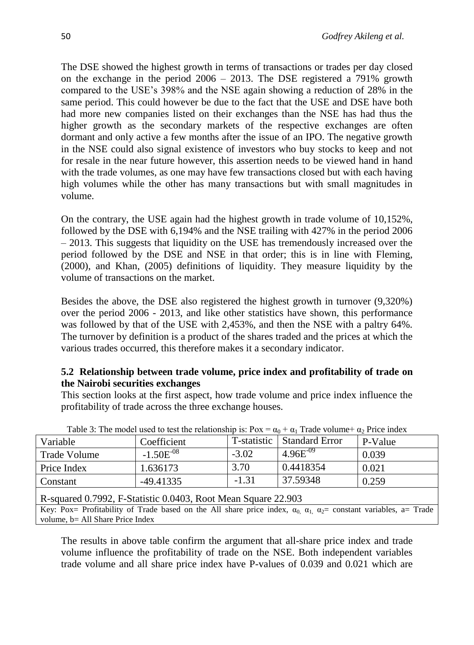The DSE showed the highest growth in terms of transactions or trades per day closed on the exchange in the period  $2006 - 2013$ . The DSE registered a 791% growth compared to the USE's 398% and the NSE again showing a reduction of 28% in the same period. This could however be due to the fact that the USE and DSE have both had more new companies listed on their exchanges than the NSE has had thus the higher growth as the secondary markets of the respective exchanges are often dormant and only active a few months after the issue of an IPO. The negative growth in the NSE could also signal existence of investors who buy stocks to keep and not for resale in the near future however, this assertion needs to be viewed hand in hand with the trade volumes, as one may have few transactions closed but with each having high volumes while the other has many transactions but with small magnitudes in volume.

On the contrary, the USE again had the highest growth in trade volume of 10,152%, followed by the DSE with 6,194% and the NSE trailing with 427% in the period 2006 – 2013. This suggests that liquidity on the USE has tremendously increased over the period followed by the DSE and NSE in that order; this is in line with Fleming, (2000), and Khan, (2005) definitions of liquidity. They measure liquidity by the volume of transactions on the market.

Besides the above, the DSE also registered the highest growth in turnover (9,320%) over the period 2006 - 2013, and like other statistics have shown, this performance was followed by that of the USE with 2,453%, and then the NSE with a paltry 64%. The turnover by definition is a product of the shares traded and the prices at which the various trades occurred, this therefore makes it a secondary indicator.

### **5.2 Relationship between trade volume, price index and profitability of trade on the Nairobi securities exchanges**

This section looks at the first aspect, how trade volume and price index influence the profitability of trade across the three exchange houses.

| Variable                                                      | Coefficient    |         | T-statistic   Standard Error | P-Value |  |  |  |
|---------------------------------------------------------------|----------------|---------|------------------------------|---------|--|--|--|
| <b>Trade Volume</b>                                           | $-1.50E^{-08}$ | $-3.02$ | $4.96E^{-09}$                | 0.039   |  |  |  |
| Price Index                                                   | 1.636173       | 3.70    | 0.4418354                    | 0.021   |  |  |  |
| 37.59348<br>$-1.31$<br>0.259<br>$-49.41335$<br>Constant       |                |         |                              |         |  |  |  |
| R-squared 0.7992, F-Statistic 0.0403, Root Mean Square 22.903 |                |         |                              |         |  |  |  |

Table 3: The model used to test the relationship is:  $Pox = \alpha_0 + \alpha_1$  Trade volume+  $\alpha_2$  Price index

Key: Pox= Profitability of Trade based on the All share price index,  $\alpha_0$ ,  $\alpha_1$ ,  $\alpha_2$ = constant variables, a= Trade volume, b= All Share Price Index

The results in above table confirm the argument that all-share price index and trade volume influence the profitability of trade on the NSE. Both independent variables trade volume and all share price index have P-values of 0.039 and 0.021 which are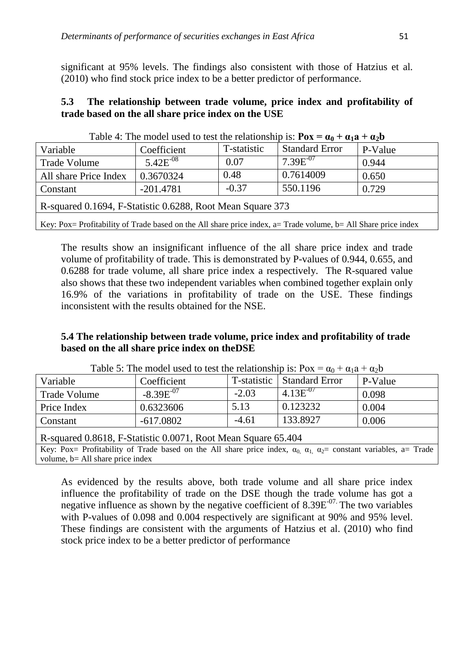significant at 95% levels. The findings also consistent with those of Hatzius et al. (2010) who find stock price index to be a better predictor of performance.

### **5.3 The relationship between trade volume, price index and profitability of trade based on the all share price index on the USE**

| $1$ able $\pm$ . The model used to lest the relationship is. <b>I</b> $\alpha \equiv \alpha_0 + \alpha_1 a + \alpha_2 b$ |               |             |                       |         |  |  |  |
|--------------------------------------------------------------------------------------------------------------------------|---------------|-------------|-----------------------|---------|--|--|--|
| Variable                                                                                                                 | Coefficient   | T-statistic | <b>Standard Error</b> | P-Value |  |  |  |
| Trade Volume                                                                                                             | $5.42E^{-08}$ | 0.07        | $7.39E^{07}$          | 0.944   |  |  |  |
| All share Price Index                                                                                                    | 0.3670324     | 0.48        | 0.7614009             | 0.650   |  |  |  |
| Constant                                                                                                                 | $-201.4781$   | $-0.37$     | 550.1196              | 0.729   |  |  |  |
| R-squared 0.1694, F-Statistic 0.6288, Root Mean Square 373                                                               |               |             |                       |         |  |  |  |
| Key: Pox= Profitability of Trade based on the All share price index, $a=$ Trade volume, $b=$ All Share price index       |               |             |                       |         |  |  |  |

| Table 4: The model used to test the relationship is: $\mathbf{Pox} = \alpha_0 + \alpha_1 \mathbf{a} + \alpha_2 \mathbf{b}$ |  |
|----------------------------------------------------------------------------------------------------------------------------|--|
|----------------------------------------------------------------------------------------------------------------------------|--|

The results show an insignificant influence of the all share price index and trade volume of profitability of trade. This is demonstrated by P-values of 0.944, 0.655, and 0.6288 for trade volume, all share price index a respectively. The R-squared value also shows that these two independent variables when combined together explain only 16.9% of the variations in profitability of trade on the USE. These findings inconsistent with the results obtained for the NSE.

### **5.4 The relationship between trade volume, price index and profitability of trade based on the all share price index on theDSE**

| $1000$ $\sigma$ , $1000$ $\sigma$ $1000$ $\sigma$ $1000$ $\sigma$ $1000$ $\sigma$ $1000$ $\sigma$ $1000$ |                |             |                  |         |  |  |  |
|----------------------------------------------------------------------------------------------------------|----------------|-------------|------------------|---------|--|--|--|
| Variable                                                                                                 | Coefficient    | T-statistic | I Standard Error | P-Value |  |  |  |
| Trade Volume                                                                                             | $-8.39E^{-07}$ | $-2.03$     | $4.13E^{-07}$    | 0.098   |  |  |  |
| Price Index                                                                                              | 0.6323606      | 5.13        | 0.123232         | 0.004   |  |  |  |
| Constant                                                                                                 | $-617.0802$    | $-4.61$     | 133.8927         | 0.006   |  |  |  |
|                                                                                                          |                |             |                  |         |  |  |  |

Table 5: The model used to test the relationship is:  $Pox = \alpha_0 + \alpha_1a + \alpha_2b$ 

R-squared 0.8618, F-Statistic 0.0071, Root Mean Square 65.404

Key: Pox= Profitability of Trade based on the All share price index,  $\alpha_0$ ,  $\alpha_1$ ,  $\alpha_2$ = constant variables, a= Trade volume, b= All share price index

As evidenced by the results above, both trade volume and all share price index influence the profitability of trade on the DSE though the trade volume has got a negative influence as shown by the negative coefficient of 8.39E<sup>-07.</sup> The two variables with P-values of 0.098 and 0.004 respectively are significant at 90% and 95% level. These findings are consistent with the arguments of Hatzius et al. (2010) who find stock price index to be a better predictor of performance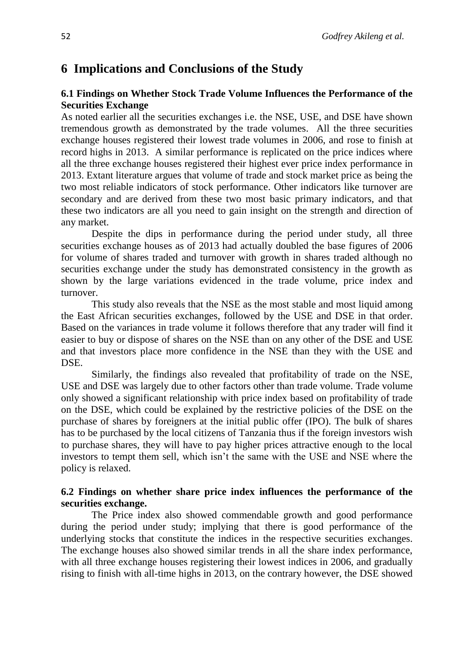# **6 Implications and Conclusions of the Study**

### **6.1 Findings on Whether Stock Trade Volume Influences the Performance of the Securities Exchange**

As noted earlier all the securities exchanges i.e. the NSE, USE, and DSE have shown tremendous growth as demonstrated by the trade volumes. All the three securities exchange houses registered their lowest trade volumes in 2006, and rose to finish at record highs in 2013. A similar performance is replicated on the price indices where all the three exchange houses registered their highest ever price index performance in 2013. Extant literature argues that volume of trade and stock market price as being the two most reliable indicators of stock performance. Other indicators like turnover are secondary and are derived from these two most basic primary indicators, and that these two indicators are all you need to gain insight on the strength and direction of any market.

Despite the dips in performance during the period under study, all three securities exchange houses as of 2013 had actually doubled the base figures of 2006 for volume of shares traded and turnover with growth in shares traded although no securities exchange under the study has demonstrated consistency in the growth as shown by the large variations evidenced in the trade volume, price index and turnover.

This study also reveals that the NSE as the most stable and most liquid among the East African securities exchanges, followed by the USE and DSE in that order. Based on the variances in trade volume it follows therefore that any trader will find it easier to buy or dispose of shares on the NSE than on any other of the DSE and USE and that investors place more confidence in the NSE than they with the USE and DSE.

Similarly, the findings also revealed that profitability of trade on the NSE, USE and DSE was largely due to other factors other than trade volume. Trade volume only showed a significant relationship with price index based on profitability of trade on the DSE, which could be explained by the restrictive policies of the DSE on the purchase of shares by foreigners at the initial public offer (IPO). The bulk of shares has to be purchased by the local citizens of Tanzania thus if the foreign investors wish to purchase shares, they will have to pay higher prices attractive enough to the local investors to tempt them sell, which isn't the same with the USE and NSE where the policy is relaxed.

### **6.2 Findings on whether share price index influences the performance of the securities exchange.**

The Price index also showed commendable growth and good performance during the period under study; implying that there is good performance of the underlying stocks that constitute the indices in the respective securities exchanges. The exchange houses also showed similar trends in all the share index performance, with all three exchange houses registering their lowest indices in 2006, and gradually rising to finish with all-time highs in 2013, on the contrary however, the DSE showed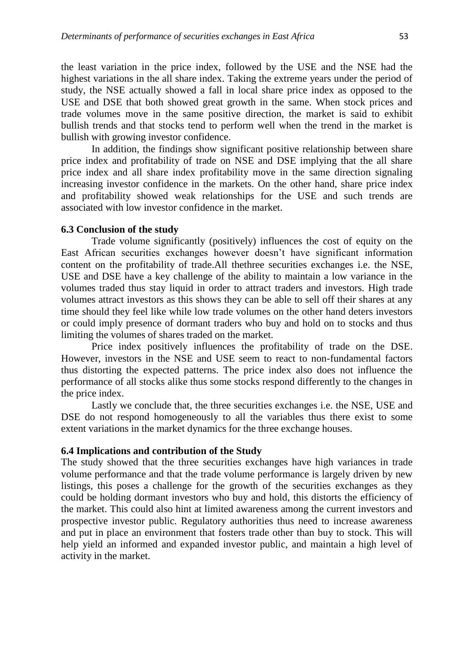the least variation in the price index, followed by the USE and the NSE had the highest variations in the all share index. Taking the extreme years under the period of study, the NSE actually showed a fall in local share price index as opposed to the USE and DSE that both showed great growth in the same. When stock prices and trade volumes move in the same positive direction, the market is said to exhibit bullish trends and that stocks tend to perform well when the trend in the market is bullish with growing investor confidence.

In addition, the findings show significant positive relationship between share price index and profitability of trade on NSE and DSE implying that the all share price index and all share index profitability move in the same direction signaling increasing investor confidence in the markets. On the other hand, share price index and profitability showed weak relationships for the USE and such trends are associated with low investor confidence in the market.

#### **6.3 Conclusion of the study**

Trade volume significantly (positively) influences the cost of equity on the East African securities exchanges however doesn't have significant information content on the profitability of trade.All thethree securities exchanges i.e. the NSE, USE and DSE have a key challenge of the ability to maintain a low variance in the volumes traded thus stay liquid in order to attract traders and investors. High trade volumes attract investors as this shows they can be able to sell off their shares at any time should they feel like while low trade volumes on the other hand deters investors or could imply presence of dormant traders who buy and hold on to stocks and thus limiting the volumes of shares traded on the market.

Price index positively influences the profitability of trade on the DSE. However, investors in the NSE and USE seem to react to non-fundamental factors thus distorting the expected patterns. The price index also does not influence the performance of all stocks alike thus some stocks respond differently to the changes in the price index.

Lastly we conclude that, the three securities exchanges i.e. the NSE, USE and DSE do not respond homogeneously to all the variables thus there exist to some extent variations in the market dynamics for the three exchange houses.

#### **6.4 Implications and contribution of the Study**

The study showed that the three securities exchanges have high variances in trade volume performance and that the trade volume performance is largely driven by new listings, this poses a challenge for the growth of the securities exchanges as they could be holding dormant investors who buy and hold, this distorts the efficiency of the market. This could also hint at limited awareness among the current investors and prospective investor public. Regulatory authorities thus need to increase awareness and put in place an environment that fosters trade other than buy to stock. This will help yield an informed and expanded investor public, and maintain a high level of activity in the market.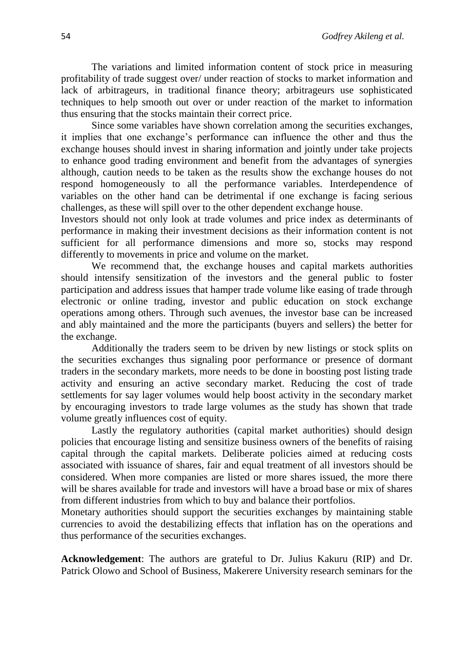The variations and limited information content of stock price in measuring profitability of trade suggest over/ under reaction of stocks to market information and lack of arbitrageurs, in traditional finance theory; arbitrageurs use sophisticated techniques to help smooth out over or under reaction of the market to information thus ensuring that the stocks maintain their correct price.

Since some variables have shown correlation among the securities exchanges, it implies that one exchange's performance can influence the other and thus the exchange houses should invest in sharing information and jointly under take projects to enhance good trading environment and benefit from the advantages of synergies although, caution needs to be taken as the results show the exchange houses do not respond homogeneously to all the performance variables. Interdependence of variables on the other hand can be detrimental if one exchange is facing serious challenges, as these will spill over to the other dependent exchange house.

Investors should not only look at trade volumes and price index as determinants of performance in making their investment decisions as their information content is not sufficient for all performance dimensions and more so, stocks may respond differently to movements in price and volume on the market.

We recommend that, the exchange houses and capital markets authorities should intensify sensitization of the investors and the general public to foster participation and address issues that hamper trade volume like easing of trade through electronic or online trading, investor and public education on stock exchange operations among others. Through such avenues, the investor base can be increased and ably maintained and the more the participants (buyers and sellers) the better for the exchange.

Additionally the traders seem to be driven by new listings or stock splits on the securities exchanges thus signaling poor performance or presence of dormant traders in the secondary markets, more needs to be done in boosting post listing trade activity and ensuring an active secondary market. Reducing the cost of trade settlements for say lager volumes would help boost activity in the secondary market by encouraging investors to trade large volumes as the study has shown that trade volume greatly influences cost of equity.

Lastly the regulatory authorities (capital market authorities) should design policies that encourage listing and sensitize business owners of the benefits of raising capital through the capital markets. Deliberate policies aimed at reducing costs associated with issuance of shares, fair and equal treatment of all investors should be considered. When more companies are listed or more shares issued, the more there will be shares available for trade and investors will have a broad base or mix of shares from different industries from which to buy and balance their portfolios.

Monetary authorities should support the securities exchanges by maintaining stable currencies to avoid the destabilizing effects that inflation has on the operations and thus performance of the securities exchanges.

**Acknowledgement**: The authors are grateful to Dr. Julius Kakuru (RIP) and Dr. Patrick Olowo and School of Business, Makerere University research seminars for the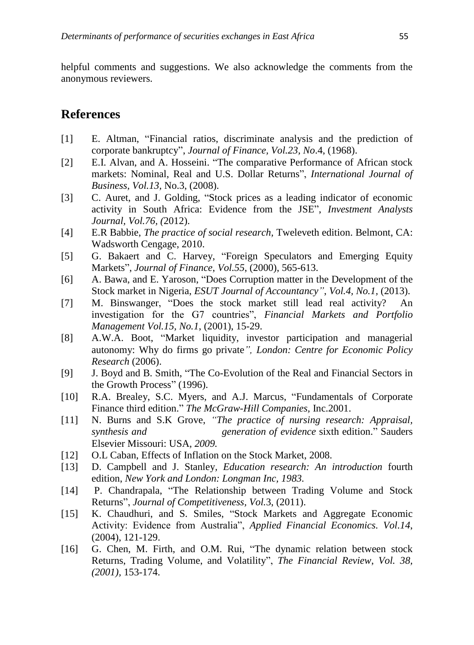helpful comments and suggestions. We also acknowledge the comments from the anonymous reviewers.

# **References**

- [1] E. Altman, "Financial ratios, discriminate analysis and the prediction of corporate bankruptcy", *Journal of Finance, Vol.23, No*.4, (1968).
- [2] E.I. Alvan, and A. Hosseini. "The comparative Performance of African stock markets: Nominal, Real and U.S. Dollar Returns", *International Journal of Business, Vol.13,* No.3, (2008).
- [3] C. Auret, and J. Golding, "Stock prices as a leading indicator of economic activity in South Africa: Evidence from the JSE", *Investment Analysts Journal, Vol.76, (*2012).
- [4] E.R Babbie, *The practice of social research,* Tweleveth edition. Belmont, CA: Wadsworth Cengage, 2010.
- [5] G. Bakaert and C. Harvey, "Foreign Speculators and Emerging Equity Markets", *Journal of Finance*, *Vol.55*, (2000), 565-613.
- [6] A. Bawa, and E. Yaroson, "Does Corruption matter in the Development of the Stock market in Nigeria, *ESUT Journal of Accountancy"*, *Vol.4, No.1,* (2013).
- [7] M. Binswanger, "Does the stock market still lead real activity? An investigation for the G7 countries", *Financial Markets and Portfolio Management Vol.15, No.1*, (2001), 15-29.
- [8] A.W.A. Boot, "Market liquidity, investor participation and managerial autonomy: Why do firms go private*", London: Centre for Economic Policy Research* (2006).
- [9] J. Boyd and B. Smith, "The Co-Evolution of the Real and Financial Sectors in the Growth Process" (1996).
- [10] R.A. Brealey, S.C. Myers, and A.J. Marcus, "Fundamentals of Corporate Finance third edition." *The McGraw-Hill Companies,* Inc.2001.
- [11] N. Burns and S.K Grove, *"The practice of nursing research: Appraisal, synthesis and generation of evidence* sixth edition." Sauders Elsevier Missouri: USA*, 2009.*
- [12] O.L Caban, Effects of Inflation on the Stock Market, 2008.
- [13] D. Campbell and J. Stanley*, Education research: An introduction* fourth edition, *New York and London: Longman Inc, 1983.*
- [14] P. Chandrapala, "The Relationship between Trading Volume and Stock Returns", *Journal of Competitiveness, Vol.*3, (2011).
- [15] K. Chaudhuri, and S. Smiles, "Stock Markets and Aggregate Economic Activity: Evidence from Australia", *Applied Financial Economics. Vol.14*, (2004), 121-129.
- [16] G. Chen, M. Firth, and O.M. Rui, "The dynamic relation between stock Returns, Trading Volume, and Volatility", *The Financial Review*, *Vol. 38, (2001),* 153-174.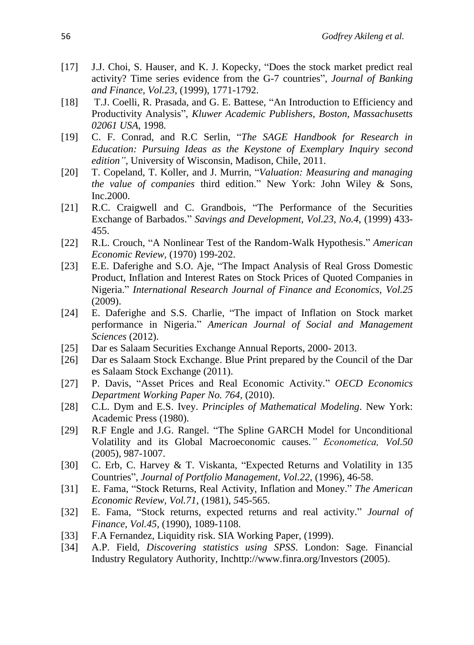- [17] J.J. Choi, S. Hauser, and K. J. Kopecky, "Does the stock market predict real activity? Time series evidence from the G-7 countries", *Journal of Banking and Finance, Vol.23*, (1999), 1771-1792.
- [18] T.J. Coelli, R. Prasada, and G. E. Battese, "An Introduction to Efficiency and Productivity Analysis", *Kluwer Academic Publishers, Boston, Massachusetts 02061 USA,* 1998*.*
- [19] C. F. Conrad, and R.C Serlin, "*The SAGE Handbook for Research in Education: Pursuing Ideas as the Keystone of Exemplary Inquiry second edition",* University of Wisconsin, Madison, Chile, 2011.
- [20] T. Copeland, T. Koller, and J. Murrin, "*Valuation: Measuring and managing the value of companies* third edition." New York: John Wiley & Sons, Inc.2000.
- [21] R.C. Craigwell and C. Grandbois, "The Performance of the Securities Exchange of Barbados." *Savings and Development, Vol.23, No.4*, (1999) 433- 455.
- [22] R.L. Crouch, "A Nonlinear Test of the Random-Walk Hypothesis." *American Economic Review,* (1970) 199-202.
- [23] E.E. Daferighe and S.O. Aje, "The Impact Analysis of Real Gross Domestic Product, Inflation and Interest Rates on Stock Prices of Quoted Companies in Nigeria." *International Research Journal of Finance and Economics, Vol.25* (2009).
- [24] E. Daferighe and S.S. Charlie, "The impact of Inflation on Stock market performance in Nigeria." *American Journal of Social and Management Sciences* (2012).
- [25] Dar es Salaam Securities Exchange Annual Reports, 2000- 2013.
- [26] Dar es Salaam Stock Exchange. Blue Print prepared by the Council of the Dar es Salaam Stock Exchange (2011).
- [27] P. Davis, "Asset Prices and Real Economic Activity." *OECD Economics Department Working Paper No. 764,* (2010).
- [28] C.L. Dym and E.S. Ivey. *Principles of Mathematical Modeling*. New York: Academic Press (1980).
- [29] R.F Engle and J.G. Rangel. "The Spline GARCH Model for Unconditional Volatility and its Global Macroeconomic causes*." Econometica, Vol.50* (2005), 987-1007.
- [30] C. Erb, C. Harvey & T. Viskanta, "Expected Returns and Volatility in 135 Countries", *Journal of Portfolio Management, Vol.22*, (1996), 46-58.
- [31] E. Fama, "Stock Returns, Real Activity, Inflation and Money." *The American Economic Review, Vol.71,* (1981), *5*45-565.
- [32] E. Fama, "Stock returns, expected returns and real activity." *Journal of Finance, Vol.45,* (1990), 1089-1108.
- [33] F.A Fernandez, Liquidity risk. SIA Working Paper, (1999).
- [34] A.P. Field, *Discovering statistics using SPSS*. London: Sage. Financial Industry Regulatory Authority, Inchttp://www.finra.org/Investors (2005).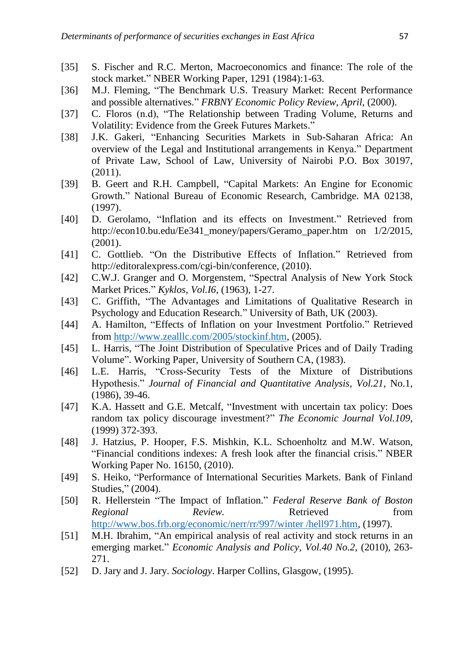- [35] S. Fischer and R.C. Merton, Macroeconomics and finance: The role of the stock market." NBER Working Paper, 1291 (1984):1-63.
- [36] M.J. Fleming, "The Benchmark U.S. Treasury Market: Recent Performance and possible alternatives." *FRBNY Economic Policy Review, April*, (2000).
- [37] C. Floros (n.d), "The Relationship between Trading Volume, Returns and Volatility: Evidence from the Greek Futures Markets."
- [38] J.K. Gakeri, "Enhancing Securities Markets in Sub-Saharan Africa: An overview of the Legal and Institutional arrangements in Kenya." Department of Private Law, School of Law, University of Nairobi P.O. Box 30197, (2011).
- [39] B. Geert and R.H. Campbell, "Capital Markets: An Engine for Economic Growth." National Bureau of Economic Research, Cambridge. MA 02138, (1997).
- [40] D. Gerolamo, "Inflation and its effects on Investment." Retrieved from http://econ10.bu.edu/Ee341\_money/papers/Geramo\_paper.htm on 1/2/2015, (2001).
- [41] C. Gottlieb. "On the Distributive Effects of Inflation." Retrieved from http://editoralexpress.com/cgi-bin/conference, (2010).
- [42] C.W.J. Granger and O. Morgenstem, "Spectral Analysis of New York Stock Market Prices." *Kyklos, Vol.I6*, (1963), 1-27.
- [43] C. Griffith, "The Advantages and Limitations of Qualitative Research in Psychology and Education Research." University of Bath, UK (2003).
- [44] A. Hamilton, "Effects of Inflation on your Investment Portfolio." Retrieved from [http://www.zealllc.com/2005/stockinf.htm,](http://www.zealllc.com/2005/stockinf.htm) (2005).
- [45] L. Harris, "The Joint Distribution of Speculative Prices and of Daily Trading Volume". Working Paper, University of Southern CA, (1983).
- [46] L.E. Harris, "Cross-Security Tests of the Mixture of Distributions Hypothesis." *Journal of Financial and Quantitative Analysis, Vol.21,* No.1, (1986), 39-46.
- [47] K.A. Hassett and G.E. Metcalf, "Investment with uncertain tax policy: Does random tax policy discourage investment?" *The Economic Journal Vol.109,* (1999) 372-393.
- [48] J. Hatzius, P. Hooper, F.S. Mishkin, K.L. Schoenholtz and M.W. Watson, "Financial conditions indexes: A fresh look after the financial crisis." NBER Working Paper No. 16150, (2010).
- [49] S. Heiko, "Performance of International Securities Markets. Bank of Finland Studies," (2004).
- [50] R. Hellerstein "The Impact of Inflation." *Federal Reserve Bank of Boston Regional Review.* Retrieved from [http://www.bos.frb.org/economic/nerr/rr/997/winter /hell971.htm,](http://www.bos.frb.org/economic/nerr/rr/997/winter%20/hell971.htm) (1997).
- [51] M.H. Ibrahim, "An empirical analysis of real activity and stock returns in an emerging market." *Economic Analysis and Policy, Vol.40 No.2*, (2010), 263- 271.
- [52] D. Jary and J. Jary. *Sociology*. Harper Collins, Glasgow, (1995).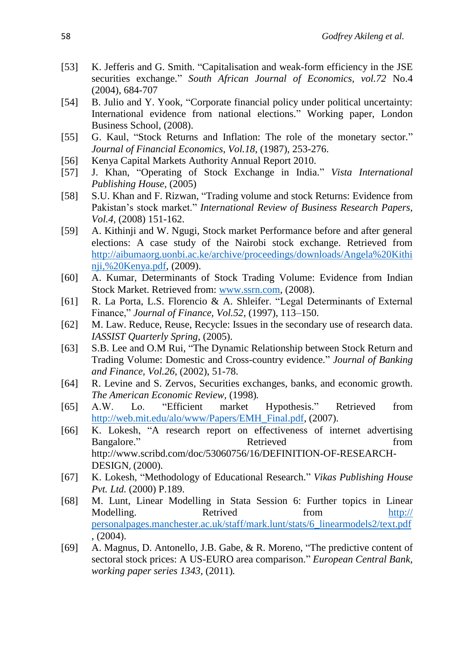- [53] K. Jefferis and G. Smith. "Capitalisation and weak-form efficiency in the JSE securities exchange." *South African Journal of Economics, vol.72* No.4 (2004), 684-707
- [54] B. Julio and Y. Yook, "Corporate financial policy under political uncertainty: International evidence from national elections." Working paper, London Business School, (2008).
- [55] G. Kaul, "Stock Returns and Inflation: The role of the monetary sector." *Journal of Financial Economics, Vol.18*, (1987), 253-276.
- [56] Kenya Capital Markets Authority Annual Report 2010.
- [57] J. Khan, "Operating of Stock Exchange in India." *Vista International Publishing House,* (2005)
- [58] S.U. Khan and F. Rizwan, "Trading volume and stock Returns: Evidence from Pakistan's stock market." *International Review of Business Research Papers, Vol.4,* (2008) 151-162.
- [59] A. Kithinji and W. Ngugi, Stock market Performance before and after general elections: A case study of the Nairobi stock exchange. Retrieved from [http://aibumaorg.uonbi.ac.ke/archive/proceedings/downloads/Angela%20Kithi](http://aibumaorg.uonbi.ac.ke/archive/proceedings/downloads/Angela%20Kithinji,%20Kenya.pdf) [nji,%20Kenya.pdf,](http://aibumaorg.uonbi.ac.ke/archive/proceedings/downloads/Angela%20Kithinji,%20Kenya.pdf) (2009).
- [60] A. Kumar, Determinants of Stock Trading Volume: Evidence from Indian Stock Market. Retrieved from: [www.ssrn.com,](http://www.ssrn.com/) (2008).
- [61] R. La Porta, L.S. Florencio & A. Shleifer. "Legal Determinants of External Finance," *Journal of Finance, Vol.52*, (1997), 113–150.
- [62] M. Law. Reduce, Reuse, Recycle: Issues in the secondary use of research data. *IASSIST Quarterly Spring,* (2005).
- [63] S.B. Lee and O.M Rui, "The Dynamic Relationship between Stock Return and Trading Volume: Domestic and Cross-country evidence." *Journal of Banking and Finance, Vol.26*, (2002), 51-78.
- [64] R. Levine and S. Zervos, Securities exchanges, banks, and economic growth. *The American Economic Review,* (1998)*.*
- [65] A.W. Lo. "Efficient market Hypothesis." Retrieved from [http://web.mit.edu/alo/www/Papers/EMH\\_Final.pdf,](http://web.mit.edu/alo/www/Papers/EMH_Final.pdf) (2007).
- [66] K. Lokesh, "A research report on effectiveness of internet advertising Bangalore." Retrieved From Retrieved From Retrieved From  $\mathbb{R}$ [http://www.scribd.com/doc/53060756/16/DEFINITION-OF-RESEARCH-](http://www.scribd.com/doc/53060756/16/DEFINITION-OF-RESEARCH-DESIGN)[DESIGN](http://www.scribd.com/doc/53060756/16/DEFINITION-OF-RESEARCH-DESIGN), (2000).
- [67] K. Lokesh, "Methodology of Educational Research." *Vikas Publishing House Pvt. Ltd.* (2000) P.189.
- [68] M. Lunt, Linear Modelling in Stata Session 6: Further topics in Linear Modelling. Retrived from http:// personalpages.manchester.ac.uk/staff/mark.lunt/stats/6\_linearmodels2/text.pdf , (2004).
- [69] A. Magnus, D. Antonello, J.B. Gabe, & R. Moreno, "The predictive content of sectoral stock prices: A US-EURO area comparison." *European Central Bank, working paper series 1343,* (2011)*.*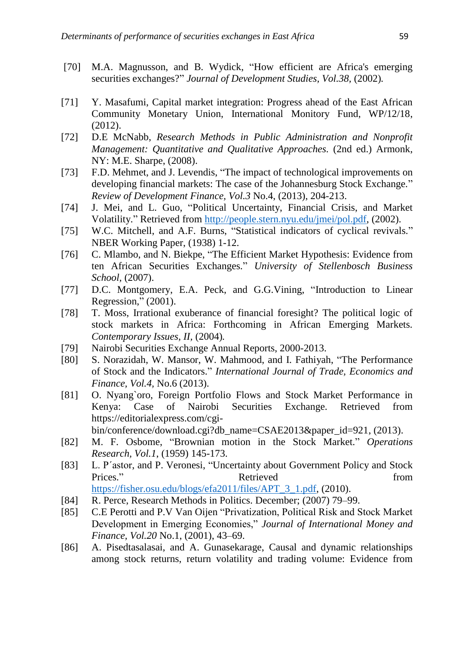- [70] M.A. Magnusson, and B. Wydick, "How efficient are Africa's emerging securities exchanges?" *Journal of Development Studies, Vol.38,* (2002)*.*
- [71] Y. Masafumi, Capital market integration: Progress ahead of the East African Community Monetary Union, International Monitory Fund, WP/12/18, (2012).
- [72] D.E McNabb, *Research Methods in Public Administration and Nonprofit Management: Quantitative and Qualitative Approaches.* (2nd ed.) Armonk, NY: M.E. Sharpe, (2008).
- [73] F.D. Mehmet, and J. Levendis, "The impact of technological improvements on developing financial markets: The case of the Johannesburg Stock Exchange." *Review of Development Finance, Vol.3* No.4, (2013), 204-213.
- [74] J. Mei, and L. Guo, "Political Uncertainty, Financial Crisis, and Market Volatility." Retrieved from [http://people.stern.nyu.edu/jmei/pol.pdf,](http://people.stern.nyu.edu/jmei/pol.pdf) (2002).
- [75] W.C. Mitchell, and A.F. Burns, "Statistical indicators of cyclical revivals." NBER Working Paper, (1938) 1-12.
- [76] C. Mlambo, and N. Biekpe, "The Efficient Market Hypothesis: Evidence from ten African Securities Exchanges." *University of Stellenbosch Business School,* (2007).
- [77] D.C. Montgomery, E.A. Peck, and G.G.Vining, "Introduction to Linear Regression," (2001).
- [78] T. Moss, Irrational exuberance of financial foresight? The political logic of stock markets in Africa: Forthcoming in African Emerging Markets. *Contemporary Issues, II,* (2004)*.*
- [79] Nairobi Securities Exchange Annual Reports, 2000-2013.
- [80] S. Norazidah, W. Mansor, W. Mahmood, and I. Fathiyah, "The Performance of Stock and the Indicators." *International Journal of Trade, Economics and Finance, Vol.4,* No.6 (2013).
- [81] O. Nyang`oro, Foreign Portfolio Flows and Stock Market Performance in Kenya: Case of Nairobi Securities Exchange. Retrieved from https://editorialexpress.com/cgi-

bin/conference/download.cgi?db\_name=CSAE2013&paper\_id=921, (2013).

- [82] M. F. Osbome, "Brownian motion in the Stock Market." *Operations Research, Vol.1*, (1959) 145-173.
- [83] L. P´astor, and P. Veronesi, "Uncertainty about Government Policy and Stock Prices." Retrieved From Retrieved From Retrieved Retrieved From  $\mathbb{R}^n$ [https://fisher.osu.edu/blogs/efa2011/files/APT\\_3\\_1.pdf,](https://fisher.osu.edu/blogs/efa2011/files/APT_3_1.pdf) (2010).
- [84] R. Perce, Research Methods in Politics. December; (2007) 79–99.
- [85] C.E Perotti and P.V Van Oijen "Privatization, Political Risk and Stock Market Development in Emerging Economies," *Journal of International Money and Finance, Vol.20* No.1, (2001), 43–69.
- [86] A. Pisedtasalasai, and A. Gunasekarage, Causal and dynamic relationships among stock returns, return volatility and trading volume: Evidence from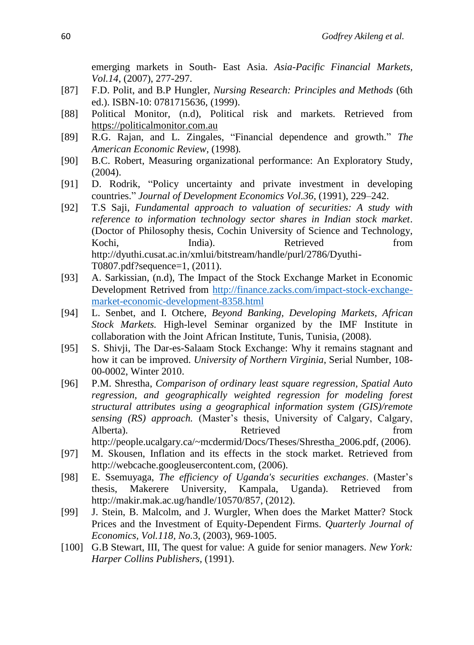emerging markets in South- East Asia. *Asia-Pacific Financial Markets, Vol.14*, (2007), 277-297.

- [87] F.D. Polit, and B.P Hungler, *Nursing Research: Principles and Methods* (6th ed.). ISBN-10: 0781715636, (1999).
- [88] Political Monitor, (n.d), Political risk and markets. Retrieved from [https://politicalmonitor.com.au](https://politicalmonitor.com.au/)
- [89] R.G. Rajan, and L. Zingales, "Financial dependence and growth." *The American Economic Review,* (1998)*.*
- [90] B.C. Robert, Measuring organizational performance: An Exploratory Study, (2004).
- [91] D. Rodrik, "Policy uncertainty and private investment in developing countries." *Journal of Development Economics Vol.36*, (1991), 229–242.
- [92] T.S Saji, *Fundamental approach to valuation of securities: A study with reference to information technology sector shares in Indian stock market*. (Doctor of Philosophy thesis, Cochin University of Science and Technology, Kochi, India). Retrieved from http://dyuthi.cusat.ac.in/xmlui/bitstream/handle/purl/2786/Dyuthi-T0807.pdf?sequence=1, (2011).
- [93] A. Sarkissian, (n.d), The Impact of the Stock Exchange Market in Economic Development Retrived from [http://finance.zacks.com/impact-stock-exchange](http://finance.zacks.com/impact-stock-exchange-market-economic-development-8358.html)[market-economic-development-8358.html](http://finance.zacks.com/impact-stock-exchange-market-economic-development-8358.html)
- [94] L. Senbet, and I. Otchere, *Beyond Banking, Developing Markets, African Stock Markets.* High-level Seminar organized by the IMF Institute in collaboration with the Joint African Institute, Tunis, Tunisia, (2008).
- [95] S. Shivji, The Dar-es-Salaam Stock Exchange: Why it remains stagnant and how it can be improved. *University of Northern Virginia*, Serial Number, 108- 00-0002, Winter 2010.
- [96] P.M. Shrestha, *Comparison of ordinary least square regression, Spatial Auto regression, and geographically weighted regression for modeling forest structural attributes using a geographical information system (GIS)/remote sensing (RS) approach.* (Master's thesis, University of Calgary, Calgary, Alberta). Retrieved from **Retrieved** from **from** 
	- http://people.ucalgary.ca/~mcdermid/Docs/Theses/Shrestha\_2006.pdf, (2006).
- [97] M. Skousen, Inflation and its effects in the stock market. Retrieved from http://webcache.googleusercontent.com, (2006).
- [98] E. Ssemuyaga, *The efficiency of Uganda's securities exchanges*. (Master's thesis, Makerere University, Kampala, Uganda). Retrieved from http://makir.mak.ac.ug/handle/10570/857, (2012).
- [99] J. Stein, B. Malcolm, and J. Wurgler, When does the Market Matter? Stock Prices and the Investment of Equity-Dependent Firms. *Quarterly Journal of Economics, Vol.118, No.*3, (2003), 969-1005.
- [100] G.B Stewart, III, The quest for value: A guide for senior managers. *New York: Harper Collins Publishers,* (1991).